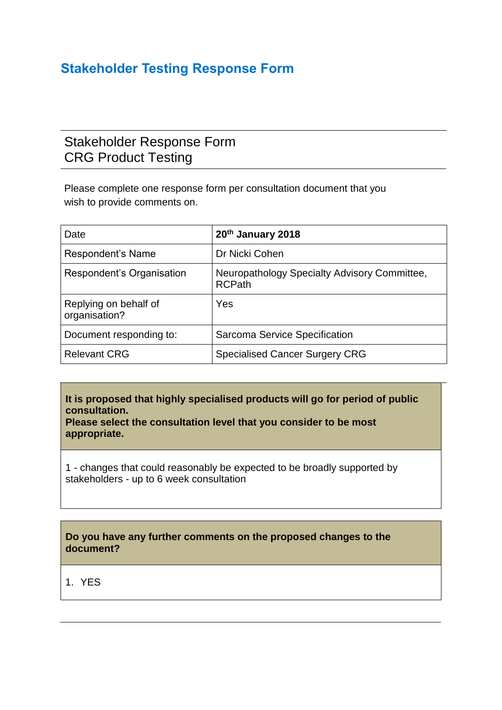## **Stakeholder Testing Response Form**

## Stakeholder Response Form CRG Product Testing

Please complete one response form per consultation document that you wish to provide comments on.

| Date                                   | 20th January 2018                                             |
|----------------------------------------|---------------------------------------------------------------|
| Respondent's Name                      | Dr Nicki Cohen                                                |
| Respondent's Organisation              | Neuropathology Specialty Advisory Committee,<br><b>RCPath</b> |
| Replying on behalf of<br>organisation? | Yes                                                           |
| Document responding to:                | Sarcoma Service Specification                                 |
| <b>Relevant CRG</b>                    | <b>Specialised Cancer Surgery CRG</b>                         |

**It is proposed that highly specialised products will go for period of public consultation.**

**Please select the consultation level that you consider to be most appropriate.**

1 - changes that could reasonably be expected to be broadly supported by stakeholders - up to 6 week consultation

## **Do you have any further comments on the proposed changes to the document?**

1. YES